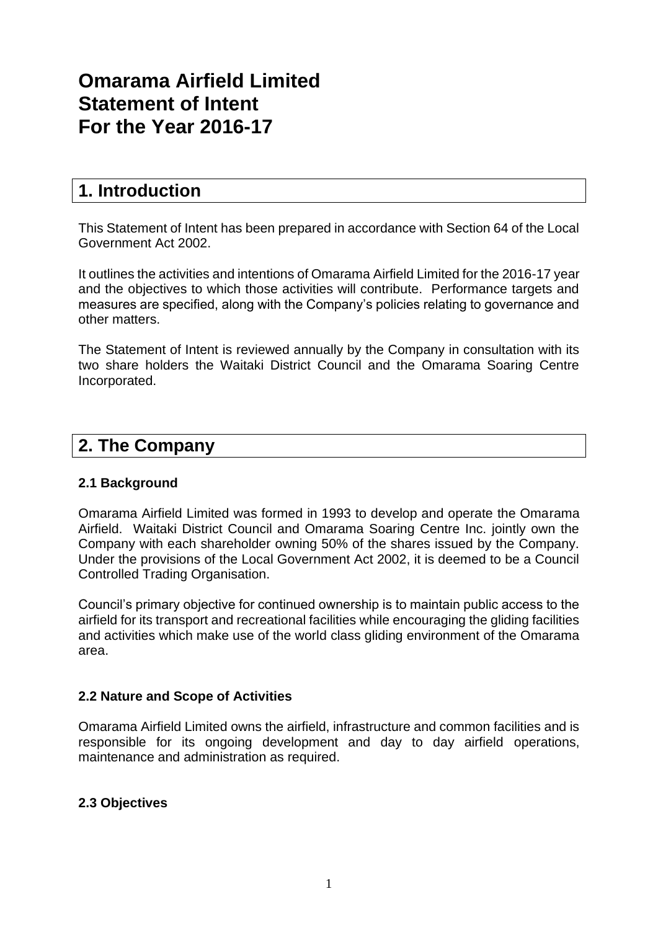# **Omarama Airfield Limited Statement of Intent For the Year 2016-17**

## **1. Introduction**

This Statement of Intent has been prepared in accordance with Section 64 of the Local Government Act 2002.

It outlines the activities and intentions of Omarama Airfield Limited for the 2016-17 year and the objectives to which those activities will contribute. Performance targets and measures are specified, along with the Company's policies relating to governance and other matters.

The Statement of Intent is reviewed annually by the Company in consultation with its two share holders the Waitaki District Council and the Omarama Soaring Centre Incorporated.

## **2. The Company**

## **2.1 Background**

Omarama Airfield Limited was formed in 1993 to develop and operate the Omarama Airfield. Waitaki District Council and Omarama Soaring Centre Inc. jointly own the Company with each shareholder owning 50% of the shares issued by the Company. Under the provisions of the Local Government Act 2002, it is deemed to be a Council Controlled Trading Organisation.

Council's primary objective for continued ownership is to maintain public access to the airfield for its transport and recreational facilities while encouraging the gliding facilities and activities which make use of the world class gliding environment of the Omarama area.

## **2.2 Nature and Scope of Activities**

Omarama Airfield Limited owns the airfield, infrastructure and common facilities and is responsible for its ongoing development and day to day airfield operations, maintenance and administration as required.

### **2.3 Objectives**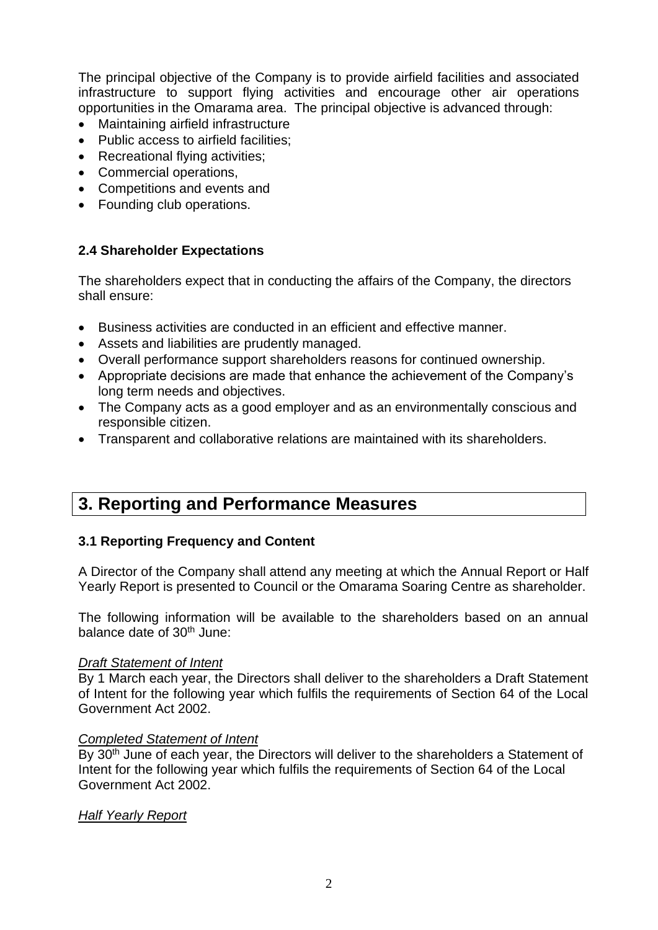The principal objective of the Company is to provide airfield facilities and associated infrastructure to support flying activities and encourage other air operations opportunities in the Omarama area. The principal objective is advanced through:

- Maintaining airfield infrastructure
- Public access to airfield facilities;
- Recreational flying activities;
- Commercial operations,
- Competitions and events and
- Founding club operations.

## **2.4 Shareholder Expectations**

The shareholders expect that in conducting the affairs of the Company, the directors shall ensure:

- Business activities are conducted in an efficient and effective manner.
- Assets and liabilities are prudently managed.
- Overall performance support shareholders reasons for continued ownership.
- Appropriate decisions are made that enhance the achievement of the Company's long term needs and objectives.
- The Company acts as a good employer and as an environmentally conscious and responsible citizen.
- Transparent and collaborative relations are maintained with its shareholders.

## **3. Reporting and Performance Measures**

### **3.1 Reporting Frequency and Content**

A Director of the Company shall attend any meeting at which the Annual Report or Half Yearly Report is presented to Council or the Omarama Soaring Centre as shareholder.

The following information will be available to the shareholders based on an annual balance date of 30<sup>th</sup> June:

### *Draft Statement of Intent*

By 1 March each year, the Directors shall deliver to the shareholders a Draft Statement of Intent for the following year which fulfils the requirements of Section 64 of the Local Government Act 2002.

### *Completed Statement of Intent*

By 30<sup>th</sup> June of each year, the Directors will deliver to the shareholders a Statement of Intent for the following year which fulfils the requirements of Section 64 of the Local Government Act 2002.

### *Half Yearly Report*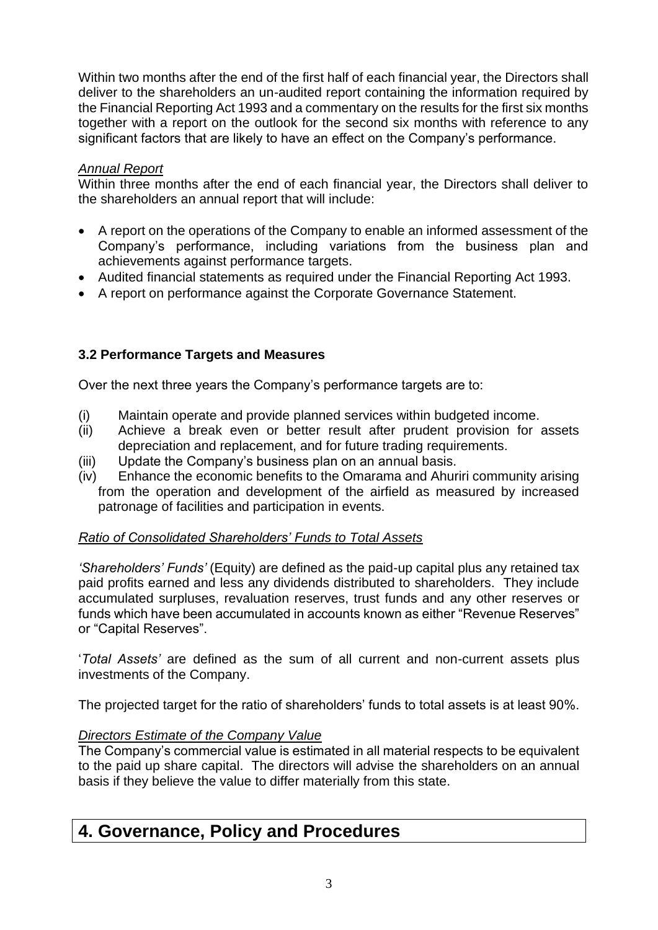Within two months after the end of the first half of each financial year, the Directors shall deliver to the shareholders an un-audited report containing the information required by the Financial Reporting Act 1993 and a commentary on the results for the first six months together with a report on the outlook for the second six months with reference to any significant factors that are likely to have an effect on the Company's performance.

## *Annual Report*

Within three months after the end of each financial year, the Directors shall deliver to the shareholders an annual report that will include:

- A report on the operations of the Company to enable an informed assessment of the Company's performance, including variations from the business plan and achievements against performance targets.
- Audited financial statements as required under the Financial Reporting Act 1993.
- A report on performance against the Corporate Governance Statement.

## **3.2 Performance Targets and Measures**

Over the next three years the Company's performance targets are to:

- (i) Maintain operate and provide planned services within budgeted income.
- (ii) Achieve a break even or better result after prudent provision for assets depreciation and replacement, and for future trading requirements.
- (iii) Update the Company's business plan on an annual basis.
- (iv) Enhance the economic benefits to the Omarama and Ahuriri community arising from the operation and development of the airfield as measured by increased patronage of facilities and participation in events.

## *Ratio of Consolidated Shareholders' Funds to Total Assets*

*'Shareholders' Funds'* (Equity) are defined as the paid-up capital plus any retained tax paid profits earned and less any dividends distributed to shareholders. They include accumulated surpluses, revaluation reserves, trust funds and any other reserves or funds which have been accumulated in accounts known as either "Revenue Reserves" or "Capital Reserves".

'*Total Assets'* are defined as the sum of all current and non-current assets plus investments of the Company.

The projected target for the ratio of shareholders' funds to total assets is at least 90%.

## *Directors Estimate of the Company Value*

The Company's commercial value is estimated in all material respects to be equivalent to the paid up share capital. The directors will advise the shareholders on an annual basis if they believe the value to differ materially from this state.

## **4. Governance, Policy and Procedures**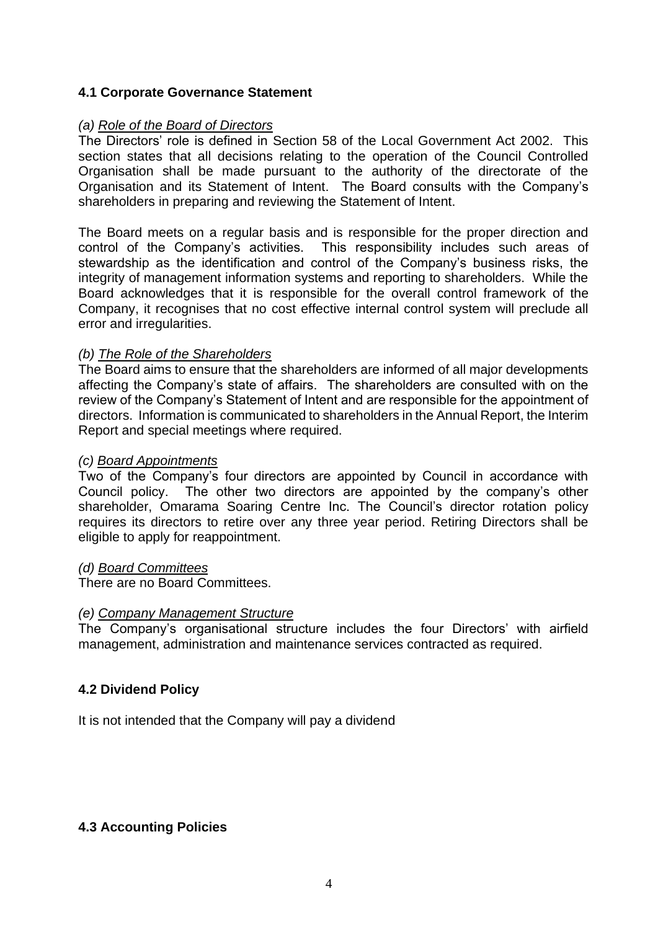## **4.1 Corporate Governance Statement**

#### *(a) Role of the Board of Directors*

The Directors' role is defined in Section 58 of the Local Government Act 2002. This section states that all decisions relating to the operation of the Council Controlled Organisation shall be made pursuant to the authority of the directorate of the Organisation and its Statement of Intent. The Board consults with the Company's shareholders in preparing and reviewing the Statement of Intent.

The Board meets on a regular basis and is responsible for the proper direction and control of the Company's activities. This responsibility includes such areas of stewardship as the identification and control of the Company's business risks, the integrity of management information systems and reporting to shareholders. While the Board acknowledges that it is responsible for the overall control framework of the Company, it recognises that no cost effective internal control system will preclude all error and irregularities.

#### *(b) The Role of the Shareholders*

The Board aims to ensure that the shareholders are informed of all major developments affecting the Company's state of affairs. The shareholders are consulted with on the review of the Company's Statement of Intent and are responsible for the appointment of directors. Information is communicated to shareholders in the Annual Report, the Interim Report and special meetings where required.

#### *(c) Board Appointments*

Two of the Company's four directors are appointed by Council in accordance with Council policy. The other two directors are appointed by the company's other shareholder, Omarama Soaring Centre Inc. The Council's director rotation policy requires its directors to retire over any three year period. Retiring Directors shall be eligible to apply for reappointment.

#### *(d) Board Committees*

There are no Board Committees.

#### *(e) Company Management Structure*

The Company's organisational structure includes the four Directors' with airfield management, administration and maintenance services contracted as required.

### **4.2 Dividend Policy**

It is not intended that the Company will pay a dividend

### **4.3 Accounting Policies**